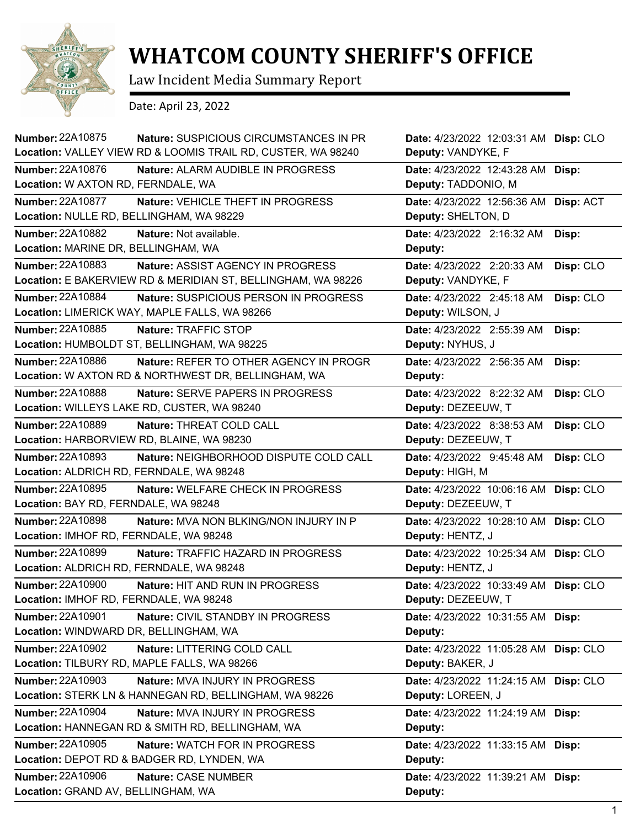

## **WHATCOM COUNTY SHERIFF'S OFFICE**

Law Incident Media Summary Report

Date: April 23, 2022

| <b>Number: 22A10875</b><br><b>Nature: SUSPICIOUS CIRCUMSTANCES IN PR</b><br>Location: VALLEY VIEW RD & LOOMIS TRAIL RD, CUSTER, WA 98240 | Date: 4/23/2022 12:03:31 AM Disp: CLO<br>Deputy: VANDYKE, F |           |
|------------------------------------------------------------------------------------------------------------------------------------------|-------------------------------------------------------------|-----------|
| <b>Number: 22A10876</b><br>Nature: ALARM AUDIBLE IN PROGRESS<br>Location: W AXTON RD, FERNDALE, WA                                       | Date: 4/23/2022 12:43:28 AM Disp:<br>Deputy: TADDONIO, M    |           |
| <b>Number: 22A10877</b><br>Nature: VEHICLE THEFT IN PROGRESS<br>Location: NULLE RD, BELLINGHAM, WA 98229                                 | Date: 4/23/2022 12:56:36 AM<br>Deputy: SHELTON, D           | Disp: ACT |
| Number: 22A10882<br>Nature: Not available.<br>Location: MARINE DR, BELLINGHAM, WA                                                        | Date: 4/23/2022 2:16:32 AM<br>Deputy:                       | Disp:     |
| Number: 22A10883<br>Nature: ASSIST AGENCY IN PROGRESS<br>Location: E BAKERVIEW RD & MERIDIAN ST, BELLINGHAM, WA 98226                    | Date: 4/23/2022 2:20:33 AM<br>Deputy: VANDYKE, F            | Disp: CLO |
| Number: 22A10884<br>Nature: SUSPICIOUS PERSON IN PROGRESS<br>Location: LIMERICK WAY, MAPLE FALLS, WA 98266                               | Date: 4/23/2022 2:45:18 AM<br>Deputy: WILSON, J             | Disp: CLO |
| <b>Number: 22A10885</b><br>Nature: TRAFFIC STOP<br>Location: HUMBOLDT ST, BELLINGHAM, WA 98225                                           | Date: 4/23/2022 2:55:39 AM<br>Deputy: NYHUS, J              | Disp:     |
| <b>Number: 22A10886</b><br>Nature: REFER TO OTHER AGENCY IN PROGR<br>Location: W AXTON RD & NORTHWEST DR, BELLINGHAM, WA                 | Date: 4/23/2022 2:56:35 AM<br>Deputy:                       | Disp:     |
| <b>Number: 22A10888</b><br>Nature: SERVE PAPERS IN PROGRESS<br>Location: WILLEYS LAKE RD, CUSTER, WA 98240                               | Date: 4/23/2022 8:22:32 AM<br>Deputy: DEZEEUW, T            | Disp: CLO |
| <b>Number: 22A10889</b><br>Nature: THREAT COLD CALL<br>Location: HARBORVIEW RD, BLAINE, WA 98230                                         | Date: 4/23/2022 8:38:53 AM<br>Deputy: DEZEEUW, T            | Disp: CLO |
| <b>Number: 22A10893</b><br>Nature: NEIGHBORHOOD DISPUTE COLD CALL<br>Location: ALDRICH RD, FERNDALE, WA 98248                            | Date: 4/23/2022 9:45:48 AM<br>Deputy: HIGH, M               | Disp: CLO |
| <b>Number: 22A10895</b><br>Nature: WELFARE CHECK IN PROGRESS<br>Location: BAY RD, FERNDALE, WA 98248                                     | Date: 4/23/2022 10:06:16 AM<br>Deputy: DEZEEUW, T           | Disp: CLO |
| <b>Number: 22A10898</b><br>Nature: MVA NON BLKING/NON INJURY IN P<br>Location: IMHOF RD, FERNDALE, WA 98248                              | Date: 4/23/2022 10:28:10 AM Disp: CLO<br>Deputy: HENTZ, J   |           |
| <b>Number: 22A10899</b><br>Nature: TRAFFIC HAZARD IN PROGRESS<br>Location: ALDRICH RD, FERNDALE, WA 98248                                | Date: 4/23/2022 10:25:34 AM<br>Deputy: HENTZ, J             | Disp: CLO |
| <b>Number: 22A10900</b><br>Nature: HIT AND RUN IN PROGRESS<br>Location: IMHOF RD, FERNDALE, WA 98248                                     | Date: 4/23/2022 10:33:49 AM Disp: CLO<br>Deputy: DEZEEUW, T |           |
| <b>Number: 22A10901</b><br>Nature: CIVIL STANDBY IN PROGRESS<br>Location: WINDWARD DR, BELLINGHAM, WA                                    | Date: 4/23/2022 10:31:55 AM Disp:<br>Deputy:                |           |
| <b>Number: 22A10902</b><br>Nature: LITTERING COLD CALL<br>Location: TILBURY RD, MAPLE FALLS, WA 98266                                    | Date: 4/23/2022 11:05:28 AM<br>Deputy: BAKER, J             | Disp: CLO |
| <b>Number: 22A10903</b><br>Nature: MVA INJURY IN PROGRESS<br>Location: STERK LN & HANNEGAN RD, BELLINGHAM, WA 98226                      | Date: 4/23/2022 11:24:15 AM<br>Deputy: LOREEN, J            | Disp: CLO |
| <b>Number: 22A10904</b><br>Nature: MVA INJURY IN PROGRESS<br>Location: HANNEGAN RD & SMITH RD, BELLINGHAM, WA                            | Date: 4/23/2022 11:24:19 AM<br>Deputy:                      | Disp:     |
| <b>Number: 22A10905</b><br>Nature: WATCH FOR IN PROGRESS<br>Location: DEPOT RD & BADGER RD, LYNDEN, WA                                   | Date: 4/23/2022 11:33:15 AM<br>Deputy:                      | Disp:     |
| Number: 22A10906<br>Nature: CASE NUMBER<br>Location: GRAND AV, BELLINGHAM, WA                                                            | Date: 4/23/2022 11:39:21 AM<br>Deputy:                      | Disp:     |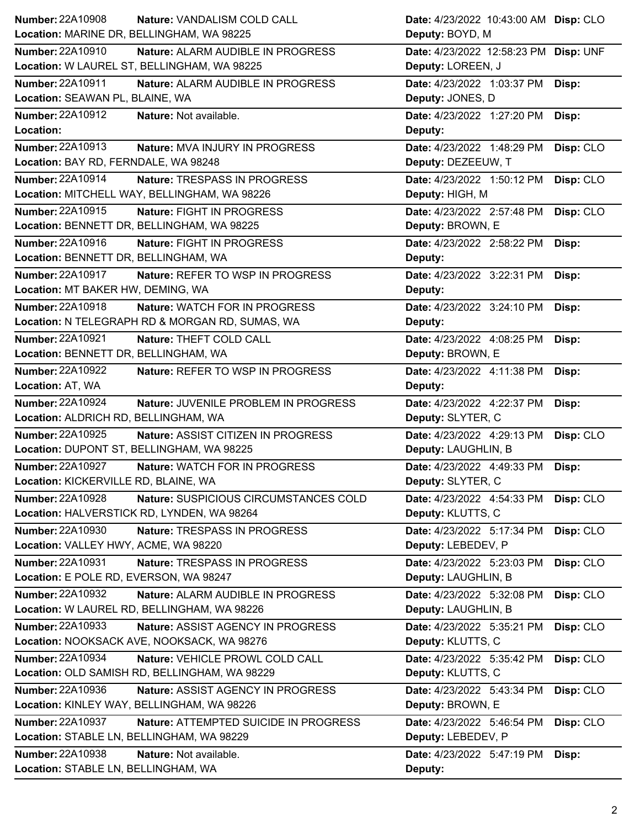| <b>Number: 22A10908</b><br>Nature: VANDALISM COLD CALL           | Date: 4/23/2022 10:43:00 AM Disp: CLO   |
|------------------------------------------------------------------|-----------------------------------------|
| Location: MARINE DR, BELLINGHAM, WA 98225                        | Deputy: BOYD, M                         |
| Number: 22A10910<br>Nature: ALARM AUDIBLE IN PROGRESS            | Date: 4/23/2022 12:58:23 PM Disp: UNF   |
| Location: W LAUREL ST, BELLINGHAM, WA 98225                      | Deputy: LOREEN, J                       |
| <b>Number: 22A10911</b><br>Nature: ALARM AUDIBLE IN PROGRESS     | Date: 4/23/2022 1:03:37 PM<br>Disp:     |
| Location: SEAWAN PL, BLAINE, WA                                  | Deputy: JONES, D                        |
| Number: 22A10912<br>Nature: Not available.                       | Date: 4/23/2022 1:27:20 PM<br>Disp:     |
| Location:                                                        | Deputy:                                 |
| Number: 22A10913<br>Nature: MVA INJURY IN PROGRESS               | Date: 4/23/2022 1:48:29 PM<br>Disp: CLO |
| Location: BAY RD, FERNDALE, WA 98248                             | Deputy: DEZEEUW, T                      |
| Number: 22A10914<br>Nature: TRESPASS IN PROGRESS                 | Date: 4/23/2022 1:50:12 PM<br>Disp: CLO |
| Location: MITCHELL WAY, BELLINGHAM, WA 98226                     | Deputy: HIGH, M                         |
| Number: 22A10915<br>Nature: FIGHT IN PROGRESS                    | Date: 4/23/2022 2:57:48 PM<br>Disp: CLO |
| Location: BENNETT DR, BELLINGHAM, WA 98225                       | Deputy: BROWN, E                        |
| Number: 22A10916<br>Nature: FIGHT IN PROGRESS                    | Date: 4/23/2022 2:58:22 PM<br>Disp:     |
| Location: BENNETT DR, BELLINGHAM, WA                             | Deputy:                                 |
| <b>Number: 22A10917</b><br>Nature: REFER TO WSP IN PROGRESS      | Date: 4/23/2022 3:22:31 PM<br>Disp:     |
| Location: MT BAKER HW, DEMING, WA                                | Deputy:                                 |
| Number: 22A10918<br>Nature: WATCH FOR IN PROGRESS                | Date: 4/23/2022 3:24:10 PM<br>Disp:     |
| Location: N TELEGRAPH RD & MORGAN RD, SUMAS, WA                  | Deputy:                                 |
| <b>Number: 22A10921</b><br>Nature: THEFT COLD CALL               | Date: 4/23/2022 4:08:25 PM<br>Disp:     |
| Location: BENNETT DR, BELLINGHAM, WA                             | Deputy: BROWN, E                        |
| Number: 22A10922<br>Nature: REFER TO WSP IN PROGRESS             | Date: 4/23/2022 4:11:38 PM<br>Disp:     |
| Location: AT, WA                                                 | Deputy:                                 |
| Number: 22A10924<br>Nature: JUVENILE PROBLEM IN PROGRESS         | Date: 4/23/2022 4:22:37 PM<br>Disp:     |
| Location: ALDRICH RD, BELLINGHAM, WA                             | Deputy: SLYTER, C                       |
| <b>Number: 22A10925</b><br>Nature: ASSIST CITIZEN IN PROGRESS    | Date: 4/23/2022 4:29:13 PM<br>Disp: CLO |
| Location: DUPONT ST, BELLINGHAM, WA 98225                        | Deputy: LAUGHLIN, B                     |
| <b>Number: 22A10927</b><br>Nature: WATCH FOR IN PROGRESS         | Date: 4/23/2022 4:49:33 PM<br>Disp:     |
| Location: KICKERVILLE RD, BLAINE, WA                             | Deputy: SLYTER, C                       |
| Number: 22A10928<br>Nature: SUSPICIOUS CIRCUMSTANCES COLD        | Date: 4/23/2022 4:54:33 PM<br>Disp: CLO |
| Location: HALVERSTICK RD, LYNDEN, WA 98264                       | Deputy: KLUTTS, C                       |
| Number: 22A10930<br>Nature: TRESPASS IN PROGRESS                 | Date: 4/23/2022 5:17:34 PM<br>Disp: CLO |
| Location: VALLEY HWY, ACME, WA 98220                             | Deputy: LEBEDEV, P                      |
| Number: 22A10931<br>Nature: TRESPASS IN PROGRESS                 | Date: 4/23/2022 5:23:03 PM<br>Disp: CLO |
| Location: E POLE RD, EVERSON, WA 98247                           | Deputy: LAUGHLIN, B                     |
| <b>Number: 22A10932</b><br>Nature: ALARM AUDIBLE IN PROGRESS     | Date: 4/23/2022 5:32:08 PM<br>Disp: CLO |
| Location: W LAUREL RD, BELLINGHAM, WA 98226                      | Deputy: LAUGHLIN, B                     |
| Number: 22A10933<br>Nature: ASSIST AGENCY IN PROGRESS            | Date: 4/23/2022 5:35:21 PM<br>Disp: CLO |
| Location: NOOKSACK AVE, NOOKSACK, WA 98276                       | Deputy: KLUTTS, C                       |
| <b>Number: 22A10934</b><br>Nature: VEHICLE PROWL COLD CALL       | Date: 4/23/2022 5:35:42 PM<br>Disp: CLO |
| Location: OLD SAMISH RD, BELLINGHAM, WA 98229                    | Deputy: KLUTTS, C                       |
| Number: 22A10936<br>Nature: ASSIST AGENCY IN PROGRESS            | Disp: CLO<br>Date: 4/23/2022 5:43:34 PM |
| Location: KINLEY WAY, BELLINGHAM, WA 98226                       | Deputy: BROWN, E                        |
| <b>Number: 22A10937</b><br>Nature: ATTEMPTED SUICIDE IN PROGRESS | Disp: CLO<br>Date: 4/23/2022 5:46:54 PM |
| Location: STABLE LN, BELLINGHAM, WA 98229                        | Deputy: LEBEDEV, P                      |
| <b>Number: 22A10938</b><br>Nature: Not available.                | Date: 4/23/2022 5:47:19 PM<br>Disp:     |
| Location: STABLE LN, BELLINGHAM, WA                              | Deputy:                                 |
|                                                                  |                                         |